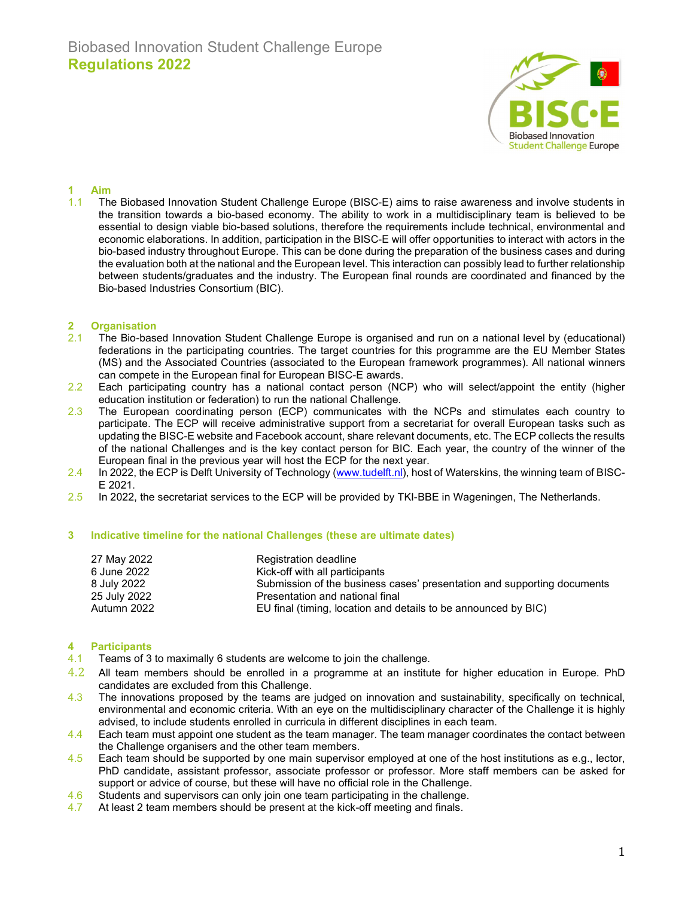

## 1 Aim

1.1 The Biobased Innovation Student Challenge Europe (BISC-E) aims to raise awareness and involve students in the transition towards a bio-based economy. The ability to work in a multidisciplinary team is believed to be essential to design viable bio-based solutions, therefore the requirements include technical, environmental and economic elaborations. In addition, participation in the BISC-E will offer opportunities to interact with actors in the bio-based industry throughout Europe. This can be done during the preparation of the business cases and during the evaluation both at the national and the European level. This interaction can possibly lead to further relationship between students/graduates and the industry. The European final rounds are coordinated and financed by the Bio-based Industries Consortium (BIC).

### 2 Organisation

- 2.1 The Bio-based Innovation Student Challenge Europe is organised and run on a national level by (educational) federations in the participating countries. The target countries for this programme are the EU Member States (MS) and the Associated Countries (associated to the European framework programmes). All national winners can compete in the European final for European BISC-E awards.
- 2.2 Each participating country has a national contact person (NCP) who will select/appoint the entity (higher education institution or federation) to run the national Challenge.
- 2.3 The European coordinating person (ECP) communicates with the NCPs and stimulates each country to participate. The ECP will receive administrative support from a secretariat for overall European tasks such as updating the BISC-E website and Facebook account, share relevant documents, etc. The ECP collects the results of the national Challenges and is the key contact person for BIC. Each year, the country of the winner of the European final in the previous year will host the ECP for the next year.
- 2.4 In 2022, the ECP is Delft University of Technology (www.tudelft.nl), host of Waterskins, the winning team of BISC-E 2021.
- 2.5 In 2022, the secretariat services to the ECP will be provided by TKI-BBE in Wageningen, The Netherlands.

### 3 Indicative timeline for the national Challenges (these are ultimate dates)

| 27 May 2022  | Registration deadline                                                   |
|--------------|-------------------------------------------------------------------------|
| 6 June 2022  | Kick-off with all participants                                          |
| 8 July 2022  | Submission of the business cases' presentation and supporting documents |
| 25 July 2022 | Presentation and national final                                         |
| Autumn 2022  | EU final (timing, location and details to be announced by BIC)          |

#### 4 Participants

- 4.1 Teams of 3 to maximally 6 students are welcome to join the challenge.
- $4.2$  All team members should be enrolled in a programme at an institute for higher education in Europe. PhD candidates are excluded from this Challenge.
- 4.3 The innovations proposed by the teams are judged on innovation and sustainability, specifically on technical, environmental and economic criteria. With an eye on the multidisciplinary character of the Challenge it is highly advised, to include students enrolled in curricula in different disciplines in each team.
- 4.4 Each team must appoint one student as the team manager. The team manager coordinates the contact between the Challenge organisers and the other team members.
- 4.5 Each team should be supported by one main supervisor employed at one of the host institutions as e.g., lector, PhD candidate, assistant professor, associate professor or professor. More staff members can be asked for support or advice of course, but these will have no official role in the Challenge.
- 4.6 Students and supervisors can only join one team participating in the challenge.
- 4.7 At least 2 team members should be present at the kick-off meeting and finals.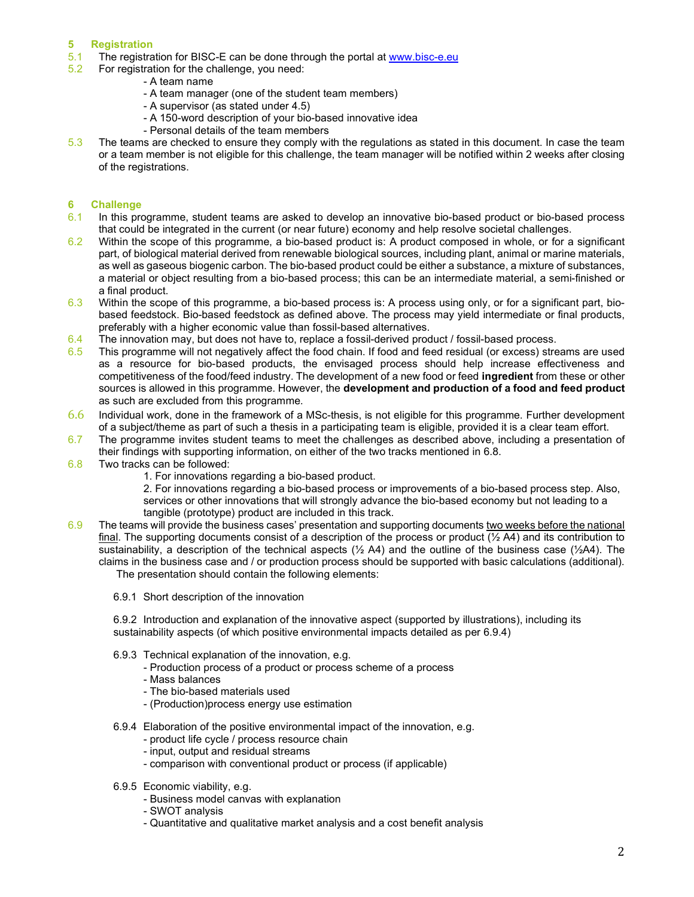# 5 Registration

- 5.1 The registration for BISC-E can be done through the portal at www.bisc-e.eu
- 5.2 For registration for the challenge, you need:
	- A team name
		- A team manager (one of the student team members)
		- A supervisor (as stated under 4.5)
		- A 150-word description of your bio-based innovative idea
		- Personal details of the team members
- 5.3 The teams are checked to ensure they comply with the regulations as stated in this document. In case the team or a team member is not eligible for this challenge, the team manager will be notified within 2 weeks after closing of the registrations.

# 6 Challenge

- 6.1 In this programme, student teams are asked to develop an innovative bio-based product or bio-based process that could be integrated in the current (or near future) economy and help resolve societal challenges.
- 6.2 Within the scope of this programme, a bio-based product is: A product composed in whole, or for a significant part, of biological material derived from renewable biological sources, including plant, animal or marine materials, as well as gaseous biogenic carbon. The bio-based product could be either a substance, a mixture of substances, a material or object resulting from a bio-based process; this can be an intermediate material, a semi-finished or a final product.
- 6.3 Within the scope of this programme, a bio-based process is: A process using only, or for a significant part, biobased feedstock. Bio-based feedstock as defined above. The process may yield intermediate or final products, preferably with a higher economic value than fossil-based alternatives.
- $6.4$  The innovation may, but does not have to, replace a fossil-derived product / fossil-based process.
- 6.5 This programme will not negatively affect the food chain. If food and feed residual (or excess) streams are used as a resource for bio-based products, the envisaged process should help increase effectiveness and competitiveness of the food/feed industry. The development of a new food or feed ingredient from these or other sources is allowed in this programme. However, the **development and production of a food and feed product** as such are excluded from this programme.
- 6.6 Individual work, done in the framework of a MSc-thesis, is not eligible for this programme. Further development of a subject/theme as part of such a thesis in a participating team is eligible, provided it is a clear team effort.
- 6.7 The programme invites student teams to meet the challenges as described above, including a presentation of their findings with supporting information, on either of the two tracks mentioned in 6.8.
- 6.8 Two tracks can be followed:
	- 1. For innovations regarding a bio-based product.

2. For innovations regarding a bio-based process or improvements of a bio-based process step. Also, services or other innovations that will strongly advance the bio-based economy but not leading to a tangible (prototype) product are included in this track.

- 6.9 The teams will provide the business cases' presentation and supporting documents two weeks before the national final. The supporting documents consist of a description of the process or product  $(\frac{1}{2} A4)$  and its contribution to sustainability, a description of the technical aspects ( $\frac{1}{2}$  A4) and the outline of the business case ( $\frac{1}{2}$ A4). The claims in the business case and / or production process should be supported with basic calculations (additional). The presentation should contain the following elements:
	- 6.9.1 Short description of the innovation

6.9.2 Introduction and explanation of the innovative aspect (supported by illustrations), including its sustainability aspects (of which positive environmental impacts detailed as per 6.9.4)

- 6.9.3 Technical explanation of the innovation, e.g.
	- Production process of a product or process scheme of a process
		- Mass balances
		- The bio-based materials used
		- (Production)process energy use estimation
- 6.9.4 Elaboration of the positive environmental impact of the innovation, e.g.
	- product life cycle / process resource chain
	- input, output and residual streams
	- comparison with conventional product or process (if applicable)
- 6.9.5 Economic viability, e.g.
	- Business model canvas with explanation
	- SWOT analysis
	- Quantitative and qualitative market analysis and a cost benefit analysis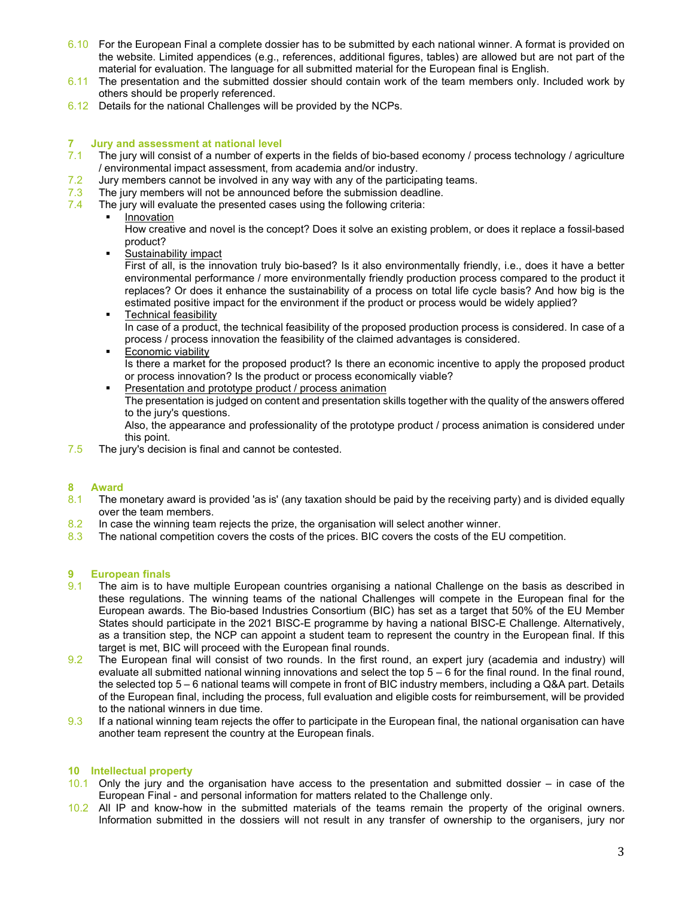- 6.10 For the European Final a complete dossier has to be submitted by each national winner. A format is provided on the website. Limited appendices (e.g., references, additional figures, tables) are allowed but are not part of the material for evaluation. The language for all submitted material for the European final is English.
- 6.11 The presentation and the submitted dossier should contain work of the team members only. Included work by others should be properly referenced.
- 6.12 Details for the national Challenges will be provided by the NCPs.

## 7 Jury and assessment at national level

- 7.1 The jury will consist of a number of experts in the fields of bio-based economy / process technology / agriculture / environmental impact assessment, from academia and/or industry.
- 7.2 Jury members cannot be involved in any way with any of the participating teams.
- 7.3 The jury members will not be announced before the submission deadline.<br>7.4 The jury will evaluate the presented cases using the following criteria:
- The jury will evaluate the presented cases using the following criteria:
	- **Innovation**

How creative and novel is the concept? Does it solve an existing problem, or does it replace a fossil-based product?

**Sustainability impact** 

First of all, is the innovation truly bio-based? Is it also environmentally friendly, i.e., does it have a better environmental performance / more environmentally friendly production process compared to the product it replaces? Or does it enhance the sustainability of a process on total life cycle basis? And how big is the estimated positive impact for the environment if the product or process would be widely applied?

- **Technical feasibility** In case of a product, the technical feasibility of the proposed production process is considered. In case of a process / process innovation the feasibility of the claimed advantages is considered.
- **Economic viability** Is there a market for the proposed product? Is there an economic incentive to apply the proposed product
- or process innovation? Is the product or process economically viable? **Presentation and prototype product / process animation** The presentation is judged on content and presentation skills together with the quality of the answers offered to the jury's questions.

Also, the appearance and professionality of the prototype product / process animation is considered under this point.

7.5 The jury's decision is final and cannot be contested.

### 8 Award

- 8.1 The monetary award is provided 'as is' (any taxation should be paid by the receiving party) and is divided equally over the team members.
- 8.2 In case the winning team rejects the prize, the organisation will select another winner.
- 8.3 The national competition covers the costs of the prices. BIC covers the costs of the EU competition.

### 9 European finals

- 9.1 The aim is to have multiple European countries organising a national Challenge on the basis as described in these regulations. The winning teams of the national Challenges will compete in the European final for the European awards. The Bio-based Industries Consortium (BIC) has set as a target that 50% of the EU Member States should participate in the 2021 BISC-E programme by having a national BISC-E Challenge. Alternatively, as a transition step, the NCP can appoint a student team to represent the country in the European final. If this target is met, BIC will proceed with the European final rounds.
- 9.2 The European final will consist of two rounds. In the first round, an expert jury (academia and industry) will evaluate all submitted national winning innovations and select the top 5 – 6 for the final round. In the final round, the selected top 5 – 6 national teams will compete in front of BIC industry members, including a Q&A part. Details of the European final, including the process, full evaluation and eligible costs for reimbursement, will be provided to the national winners in due time.
- 9.3 If a national winning team rejects the offer to participate in the European final, the national organisation can have another team represent the country at the European finals.

### 10 Intellectual property

- 10.1 Only the jury and the organisation have access to the presentation and submitted dossier in case of the European Final - and personal information for matters related to the Challenge only.
- 10.2 All IP and know-how in the submitted materials of the teams remain the property of the original owners. Information submitted in the dossiers will not result in any transfer of ownership to the organisers, jury nor